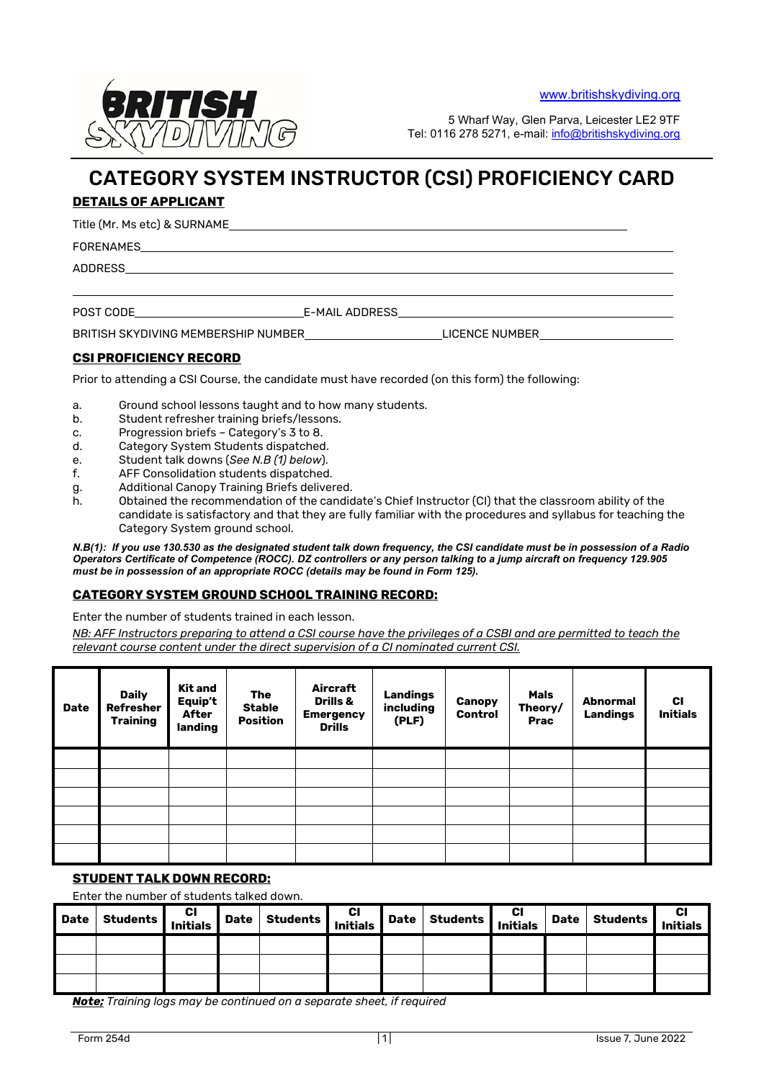

5 Wharf Way, Glen Parva, Leicester LE2 9TF Tel: 0116 278 5271, e-mail: [info@britishskydiving.org](mailto:info@britishskydiving.org)

# CATEGORY SYSTEM INSTRUCTOR (CSI) PROFICIENCY CARD

# **DETAILS OF APPLICANT**

Title (Mr. Ms etc) & SURNAME

FORENAMES

ADDRESS

POST CODE E-MAIL ADDRESS

BRITISH SKYDIVING MEMBERSHIP NUMBER LICENCE NUMBER

## **CSI PROFICIENCY RECORD**

Prior to attending a CSI Course, the candidate must have recorded (on this form) the following:

a. Ground school lessons taught and to how many students.

- b. Student refresher training briefs/lessons.
- c. Progression briefs Category's 3 to 8.
- d. Category System Students dispatched.
- e. Student talk downs (*See N.B (1) below*).
- f. AFF Consolidation students dispatched.
- g. Additional Canopy Training Briefs delivered.
- h. Obtained the recommendation of the candidate's Chief Instructor (CI) that the classroom ability of the candidate is satisfactory and that they are fully familiar with the procedures and syllabus for teaching the Category System ground school.

*N.B(1): If you use 130.530 as the designated student talk down frequency, the CSI candidate must be in possession of a Radio Operators Certificate of Competence (ROCC). DZ controllers or any person talking to a jump aircraft on frequency 129.905 must be in possession of an appropriate ROCC (details may be found in Form 125).*

#### **CATEGORY SYSTEM GROUND SCHOOL TRAINING RECORD:**

Enter the number of students trained in each lesson.

*NB: AFF Instructors preparing to attend a CSI course have the privileges of a CSBI and are permitted to teach the relevant course content under the direct supervision of a CI nominated current CSI.*

| <b>Date</b> | <b>Daily</b><br>Refresher<br><b>Training</b> | Kit and<br>Equip't<br><b>After</b><br>landing | The<br><b>Stable</b><br><b>Position</b> | Aircraft<br><b>Drills &amp;</b><br><b>Emergency</b><br><b>Drills</b> | <b>Landings</b><br>including<br>(PLF) | Canopy<br>Control | <b>Mals</b><br>Theory/<br><b>Prac</b> | <b>Abnormal</b><br><b>Landings</b> | <b>CI</b><br><b>Initials</b> |
|-------------|----------------------------------------------|-----------------------------------------------|-----------------------------------------|----------------------------------------------------------------------|---------------------------------------|-------------------|---------------------------------------|------------------------------------|------------------------------|
|             |                                              |                                               |                                         |                                                                      |                                       |                   |                                       |                                    |                              |
|             |                                              |                                               |                                         |                                                                      |                                       |                   |                                       |                                    |                              |
|             |                                              |                                               |                                         |                                                                      |                                       |                   |                                       |                                    |                              |
|             |                                              |                                               |                                         |                                                                      |                                       |                   |                                       |                                    |                              |
|             |                                              |                                               |                                         |                                                                      |                                       |                   |                                       |                                    |                              |
|             |                                              |                                               |                                         |                                                                      |                                       |                   |                                       |                                    |                              |

#### **STUDENT TALK DOWN RECORD:**

#### Enter the number of students talked down.

| <b>Date</b> | Students | CI Date / | Students | CI Date   -<br>  Initials Date   - | <b>Students</b> | CI<br>Initials | Date Students | <b>CI<br/>Initials</b> |
|-------------|----------|-----------|----------|------------------------------------|-----------------|----------------|---------------|------------------------|
|             |          |           |          |                                    |                 |                |               |                        |
|             |          |           |          |                                    |                 |                |               |                        |
|             |          |           |          |                                    |                 |                |               |                        |

*Note; Training logs may be continued on a separate sheet, if required*